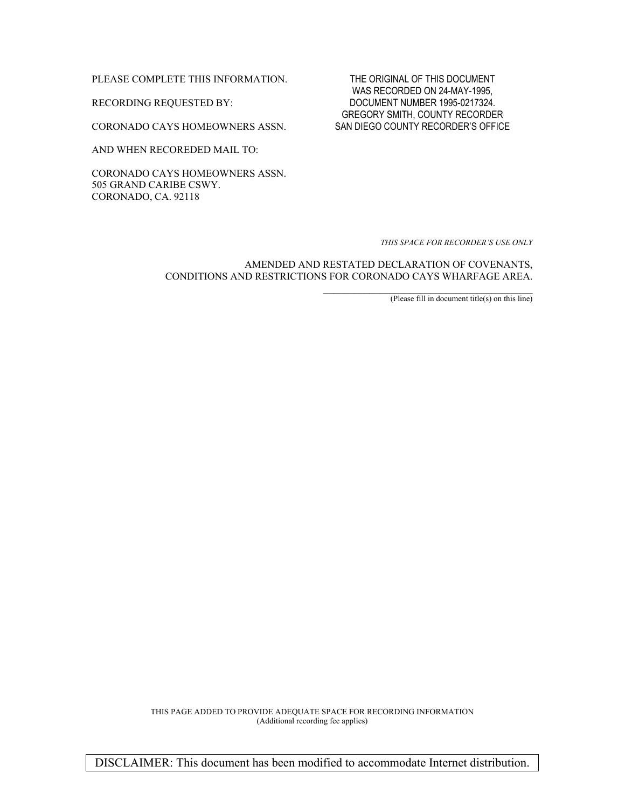PLEASE COMPLETE THIS INFORMATION. THE ORIGINAL OF THIS DOCUMENT

CORONADO CAYS HOMEOWNERS ASSN. SAN DIEGO COUNTY RECORDER'S OFFICE

AND WHEN RECOREDED MAIL TO:

CORONADO CAYS HOMEOWNERS ASSN. 505 GRAND CARIBE CSWY. CORONADO, CA. 92118

WAS RECORDED ON 24-MAY-1995, RECORDING REQUESTED BY: DOCUMENT NUMBER 1995-0217324. GREGORY SMITH, COUNTY RECORDER

*THIS SPACE FOR RECORDER'S USE ONLY* 

AMENDED AND RESTATED DECLARATION OF COVENANTS, CONDITIONS AND RESTRICTIONS FOR CORONADO CAYS WHARFAGE AREA.

 $(Please fill in document title(s) on this line)$ 

THIS PAGE ADDED TO PROVIDE ADEQUATE SPACE FOR RECORDING INFORMATION (Additional recording fee applies)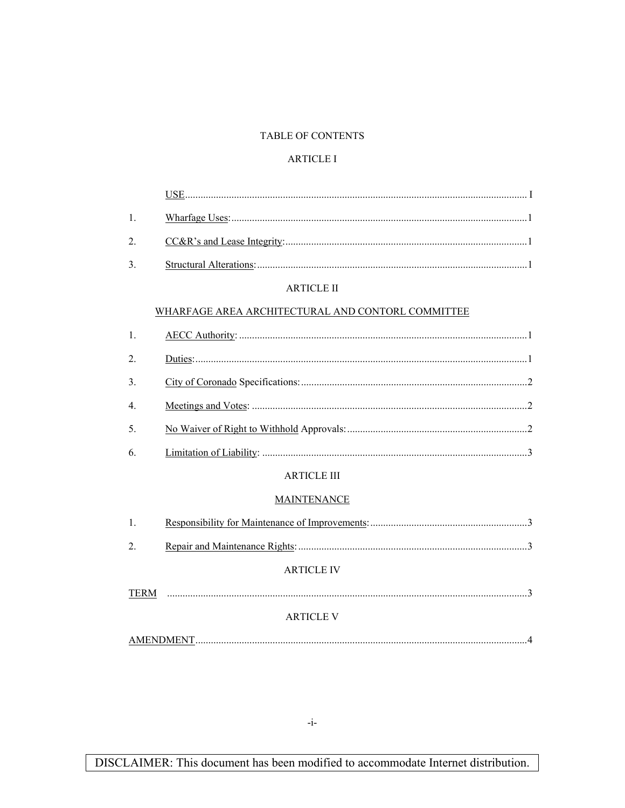#### TABLE OF CONTENTS

#### **ARTICLE I**

| 1.             |                                                   |
|----------------|---------------------------------------------------|
| 2.             |                                                   |
| 3.             |                                                   |
|                | <b>ARTICLE II</b>                                 |
|                | WHARFAGE AREA ARCHITECTURAL AND CONTORL COMMITTEE |
| 1.             |                                                   |
| 2.             |                                                   |
| 3 <sub>1</sub> |                                                   |
| 4              |                                                   |
| 5.             |                                                   |
| 6.             |                                                   |
|                | <b>ARTICLE III</b>                                |
|                | <b>MAINTENANCE</b>                                |
| $\mathbf{1}$   |                                                   |
| 2.             |                                                   |
|                | <b>ARTICLE IV</b>                                 |
|                |                                                   |
|                | <b>ARTICLE V</b>                                  |
|                |                                                   |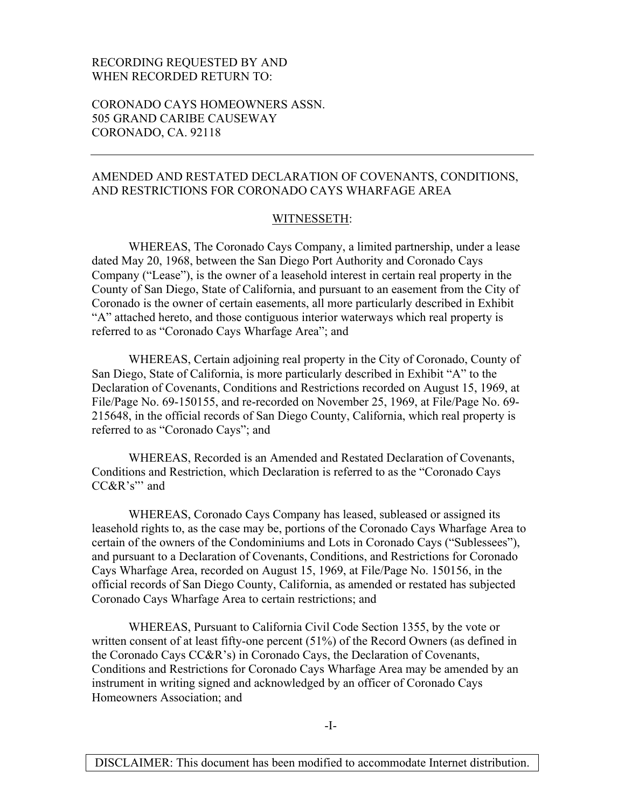#### RECORDING REQUESTED BY AND WHEN RECORDED RETURN TO:

CORONADO CAYS HOMEOWNERS ASSN. 505 GRAND CARIBE CAUSEWAY CORONADO, CA. 92118

#### AMENDED AND RESTATED DECLARATION OF COVENANTS, CONDITIONS, AND RESTRICTIONS FOR CORONADO CAYS WHARFAGE AREA

#### WITNESSETH:

WHEREAS, The Coronado Cays Company, a limited partnership, under a lease dated May 20, 1968, between the San Diego Port Authority and Coronado Cays Company ("Lease"), is the owner of a leasehold interest in certain real property in the County of San Diego, State of California, and pursuant to an easement from the City of Coronado is the owner of certain easements, all more particularly described in Exhibit "A" attached hereto, and those contiguous interior waterways which real property is referred to as "Coronado Cays Wharfage Area"; and

WHEREAS, Certain adjoining real property in the City of Coronado, County of San Diego, State of California, is more particularly described in Exhibit "A" to the Declaration of Covenants, Conditions and Restrictions recorded on August 15, 1969, at File/Page No. 69-150155, and re-recorded on November 25, 1969, at File/Page No. 69- 215648, in the official records of San Diego County, California, which real property is referred to as "Coronado Cays"; and

WHEREAS, Recorded is an Amended and Restated Declaration of Covenants, Conditions and Restriction, which Declaration is referred to as the "Coronado Cays CC&R's"' and

WHEREAS, Coronado Cays Company has leased, subleased or assigned its leasehold rights to, as the case may be, portions of the Coronado Cays Wharfage Area to certain of the owners of the Condominiums and Lots in Coronado Cays ("Sublessees"), and pursuant to a Declaration of Covenants, Conditions, and Restrictions for Coronado Cays Wharfage Area, recorded on August 15, 1969, at File/Page No. 150156, in the official records of San Diego County, California, as amended or restated has subjected Coronado Cays Wharfage Area to certain restrictions; and

WHEREAS, Pursuant to California Civil Code Section 1355, by the vote or written consent of at least fifty-one percent (51%) of the Record Owners (as defined in the Coronado Cays CC&R's) in Coronado Cays, the Declaration of Covenants, Conditions and Restrictions for Coronado Cays Wharfage Area may be amended by an instrument in writing signed and acknowledged by an officer of Coronado Cays Homeowners Association; and

-I-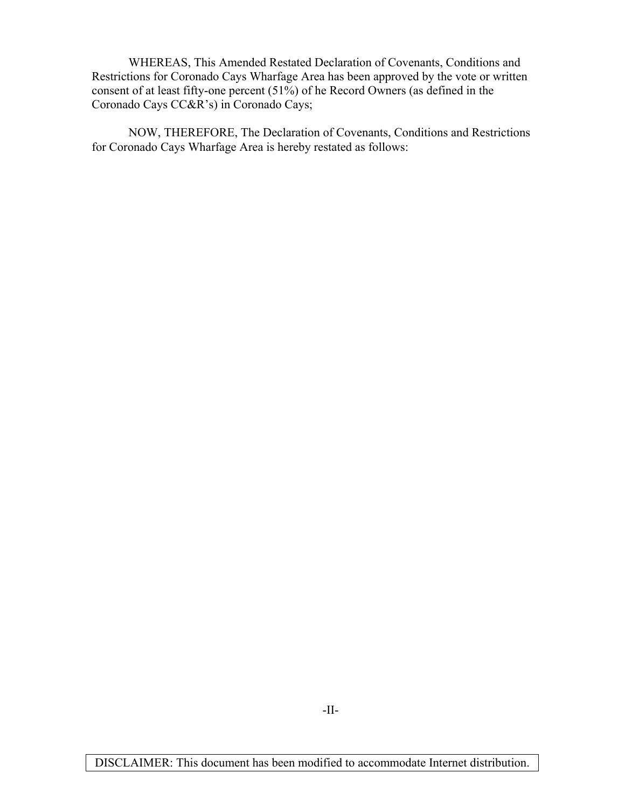WHEREAS, This Amended Restated Declaration of Covenants, Conditions and Restrictions for Coronado Cays Wharfage Area has been approved by the vote or written consent of at least fifty-one percent (51%) of he Record Owners (as defined in the Coronado Cays CC&R's) in Coronado Cays;

NOW, THEREFORE, The Declaration of Covenants, Conditions and Restrictions for Coronado Cays Wharfage Area is hereby restated as follows: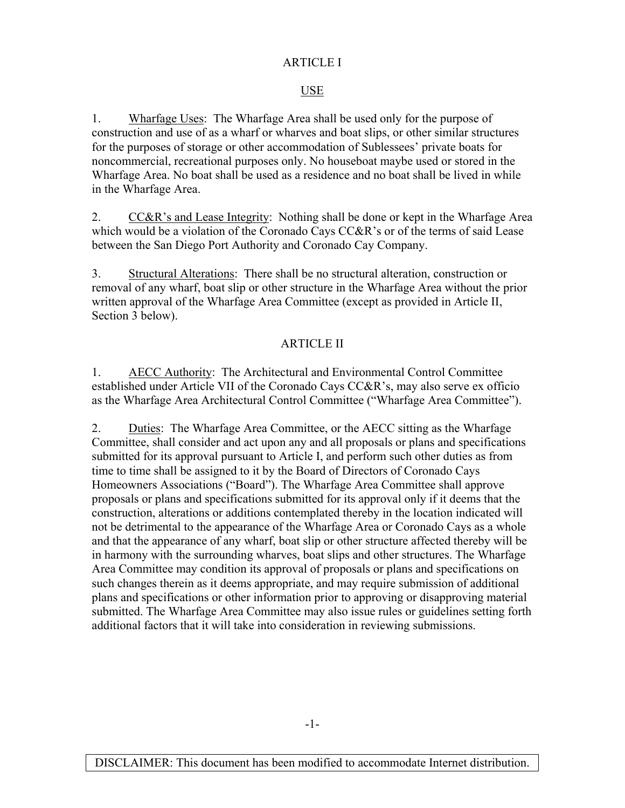### ARTICLE I

### USE

1. Wharfage Uses: The Wharfage Area shall be used only for the purpose of construction and use of as a wharf or wharves and boat slips, or other similar structures for the purposes of storage or other accommodation of Sublessees' private boats for noncommercial, recreational purposes only. No houseboat maybe used or stored in the Wharfage Area. No boat shall be used as a residence and no boat shall be lived in while in the Wharfage Area.

2. CC&R's and Lease Integrity: Nothing shall be done or kept in the Wharfage Area which would be a violation of the Coronado Cays CC&R's or of the terms of said Lease between the San Diego Port Authority and Coronado Cay Company.

3. Structural Alterations: There shall be no structural alteration, construction or removal of any wharf, boat slip or other structure in the Wharfage Area without the prior written approval of the Wharfage Area Committee (except as provided in Article II, Section 3 below).

### ARTICLE II

1. AECC Authority: The Architectural and Environmental Control Committee established under Article VII of the Coronado Cays CC&R's, may also serve ex officio as the Wharfage Area Architectural Control Committee ("Wharfage Area Committee").

2. Duties: The Wharfage Area Committee, or the AECC sitting as the Wharfage Committee, shall consider and act upon any and all proposals or plans and specifications submitted for its approval pursuant to Article I, and perform such other duties as from time to time shall be assigned to it by the Board of Directors of Coronado Cays Homeowners Associations ("Board"). The Wharfage Area Committee shall approve proposals or plans and specifications submitted for its approval only if it deems that the construction, alterations or additions contemplated thereby in the location indicated will not be detrimental to the appearance of the Wharfage Area or Coronado Cays as a whole and that the appearance of any wharf, boat slip or other structure affected thereby will be in harmony with the surrounding wharves, boat slips and other structures. The Wharfage Area Committee may condition its approval of proposals or plans and specifications on such changes therein as it deems appropriate, and may require submission of additional plans and specifications or other information prior to approving or disapproving material submitted. The Wharfage Area Committee may also issue rules or guidelines setting forth additional factors that it will take into consideration in reviewing submissions.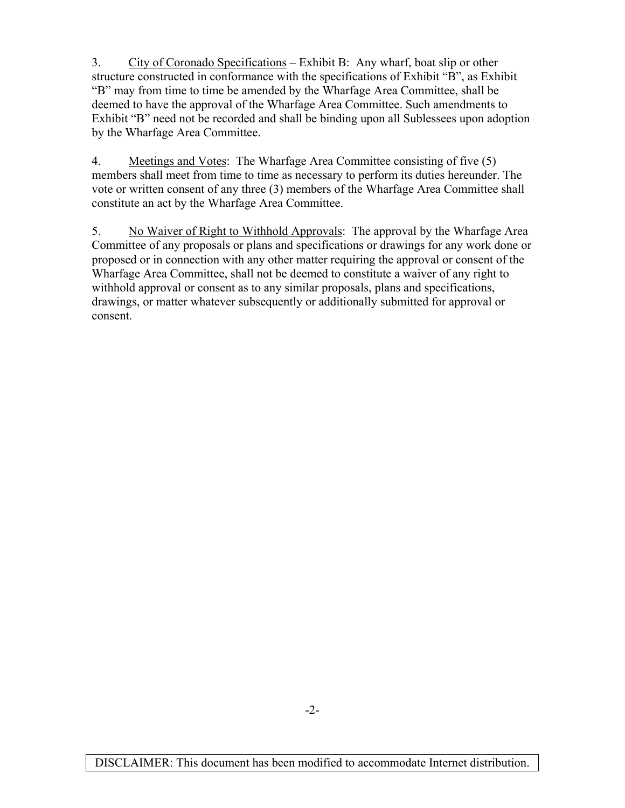3. City of Coronado Specifications – Exhibit B: Any wharf, boat slip or other structure constructed in conformance with the specifications of Exhibit "B", as Exhibit "B" may from time to time be amended by the Wharfage Area Committee, shall be deemed to have the approval of the Wharfage Area Committee. Such amendments to Exhibit "B" need not be recorded and shall be binding upon all Sublessees upon adoption by the Wharfage Area Committee.

4. Meetings and Votes: The Wharfage Area Committee consisting of five (5) members shall meet from time to time as necessary to perform its duties hereunder. The vote or written consent of any three (3) members of the Wharfage Area Committee shall constitute an act by the Wharfage Area Committee.

5. No Waiver of Right to Withhold Approvals: The approval by the Wharfage Area Committee of any proposals or plans and specifications or drawings for any work done or proposed or in connection with any other matter requiring the approval or consent of the Wharfage Area Committee, shall not be deemed to constitute a waiver of any right to withhold approval or consent as to any similar proposals, plans and specifications, drawings, or matter whatever subsequently or additionally submitted for approval or consent.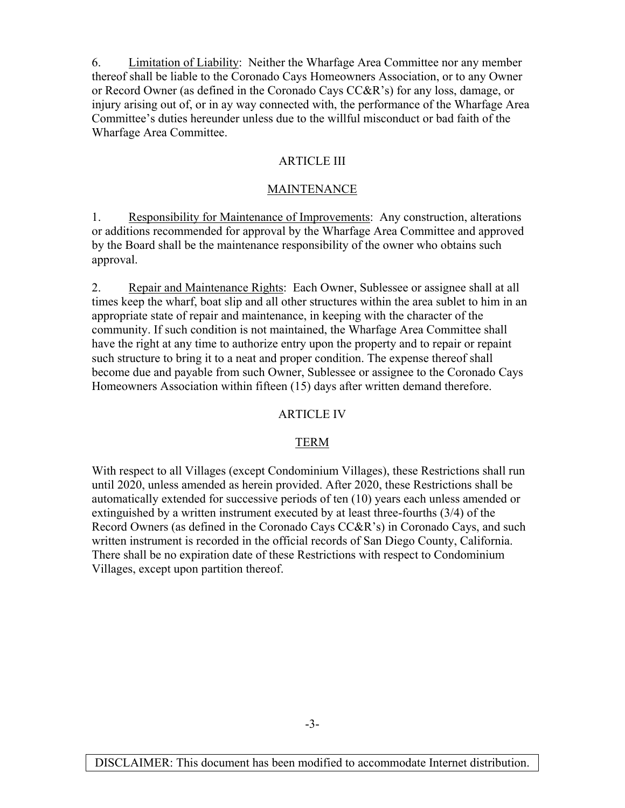6. Limitation of Liability: Neither the Wharfage Area Committee nor any member thereof shall be liable to the Coronado Cays Homeowners Association, or to any Owner or Record Owner (as defined in the Coronado Cays CC&R's) for any loss, damage, or injury arising out of, or in ay way connected with, the performance of the Wharfage Area Committee's duties hereunder unless due to the willful misconduct or bad faith of the Wharfage Area Committee.

#### ARTICLE III

#### MAINTENANCE

1. Responsibility for Maintenance of Improvements: Any construction, alterations or additions recommended for approval by the Wharfage Area Committee and approved by the Board shall be the maintenance responsibility of the owner who obtains such approval.

2. Repair and Maintenance Rights: Each Owner, Sublessee or assignee shall at all times keep the wharf, boat slip and all other structures within the area sublet to him in an appropriate state of repair and maintenance, in keeping with the character of the community. If such condition is not maintained, the Wharfage Area Committee shall have the right at any time to authorize entry upon the property and to repair or repaint such structure to bring it to a neat and proper condition. The expense thereof shall become due and payable from such Owner, Sublessee or assignee to the Coronado Cays Homeowners Association within fifteen (15) days after written demand therefore.

#### ARTICLE IV

### TERM

With respect to all Villages (except Condominium Villages), these Restrictions shall run until 2020, unless amended as herein provided. After 2020, these Restrictions shall be automatically extended for successive periods of ten (10) years each unless amended or extinguished by a written instrument executed by at least three-fourths (3/4) of the Record Owners (as defined in the Coronado Cays CC&R's) in Coronado Cays, and such written instrument is recorded in the official records of San Diego County, California. There shall be no expiration date of these Restrictions with respect to Condominium Villages, except upon partition thereof.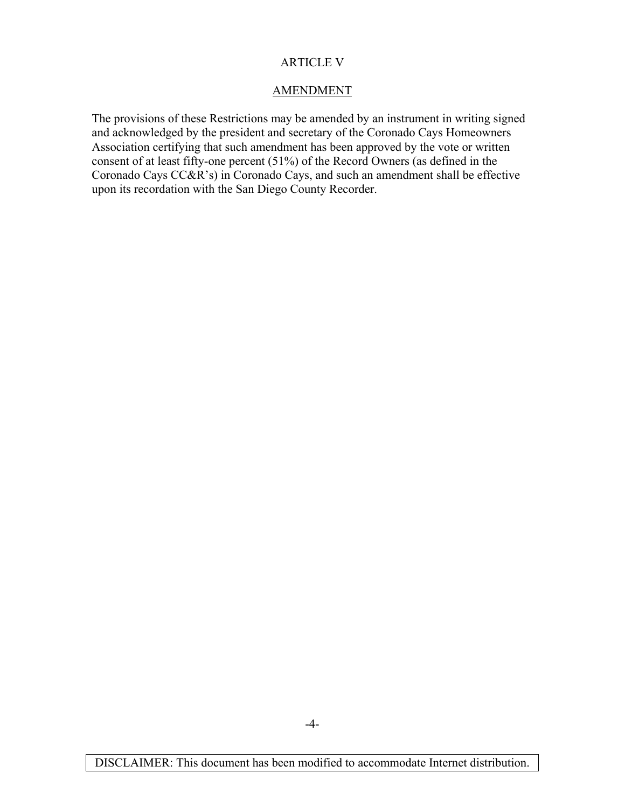### ARTICLE V

### AMENDMENT

The provisions of these Restrictions may be amended by an instrument in writing signed and acknowledged by the president and secretary of the Coronado Cays Homeowners Association certifying that such amendment has been approved by the vote or written consent of at least fifty-one percent (51%) of the Record Owners (as defined in the Coronado Cays CC&R's) in Coronado Cays, and such an amendment shall be effective upon its recordation with the San Diego County Recorder.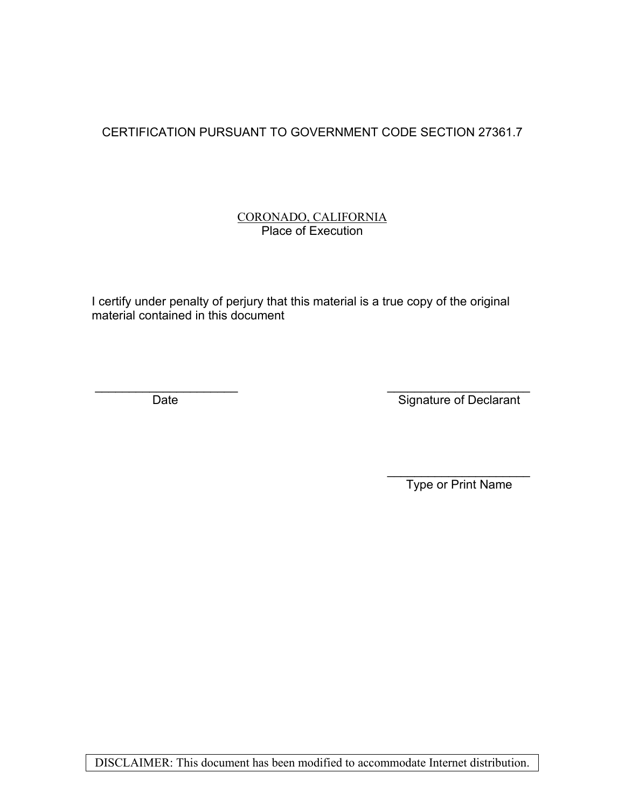# CERTIFICATION PURSUANT TO GOVERNMENT CODE SECTION 27361.7

### CORONADO, CALIFORNIA Place of Execution

I certify under penalty of perjury that this material is a true copy of the original material contained in this document

 $\frac{1}{\sqrt{2}}$  ,  $\frac{1}{\sqrt{2}}$  ,  $\frac{1}{\sqrt{2}}$  ,  $\frac{1}{\sqrt{2}}$  ,  $\frac{1}{\sqrt{2}}$  ,  $\frac{1}{\sqrt{2}}$  ,  $\frac{1}{\sqrt{2}}$  ,  $\frac{1}{\sqrt{2}}$  ,  $\frac{1}{\sqrt{2}}$  ,  $\frac{1}{\sqrt{2}}$  ,  $\frac{1}{\sqrt{2}}$  ,  $\frac{1}{\sqrt{2}}$  ,  $\frac{1}{\sqrt{2}}$  ,  $\frac{1}{\sqrt{2}}$  ,  $\frac{1}{\sqrt{2}}$ 

\_\_\_\_\_\_\_\_\_\_\_\_\_\_\_\_\_\_\_\_\_ \_\_\_\_\_\_\_\_\_\_\_\_\_\_\_\_\_\_\_\_\_ Date Signature of Declarant

Type or Print Name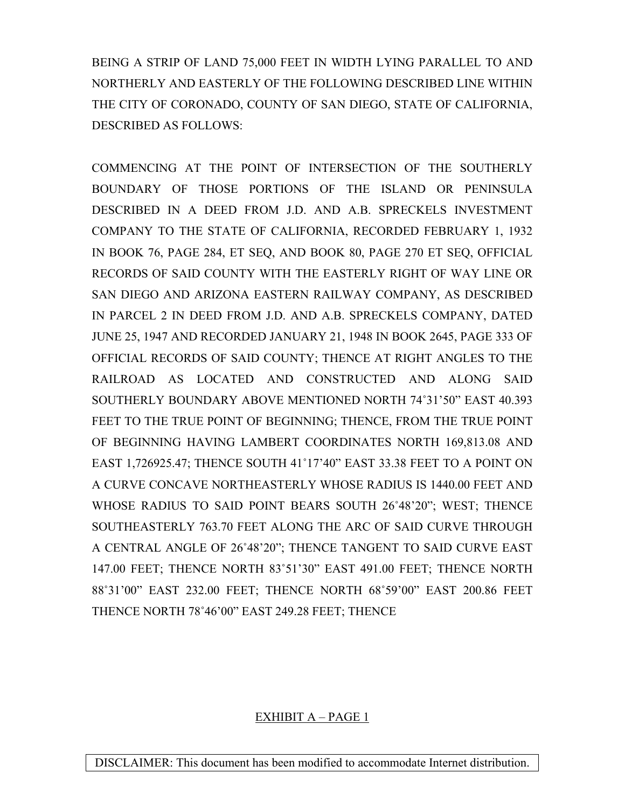BEING A STRIP OF LAND 75,000 FEET IN WIDTH LYING PARALLEL TO AND NORTHERLY AND EASTERLY OF THE FOLLOWING DESCRIBED LINE WITHIN THE CITY OF CORONADO, COUNTY OF SAN DIEGO, STATE OF CALIFORNIA, DESCRIBED AS FOLLOWS:

COMMENCING AT THE POINT OF INTERSECTION OF THE SOUTHERLY BOUNDARY OF THOSE PORTIONS OF THE ISLAND OR PENINSULA DESCRIBED IN A DEED FROM J.D. AND A.B. SPRECKELS INVESTMENT COMPANY TO THE STATE OF CALIFORNIA, RECORDED FEBRUARY 1, 1932 IN BOOK 76, PAGE 284, ET SEQ, AND BOOK 80, PAGE 270 ET SEQ, OFFICIAL RECORDS OF SAID COUNTY WITH THE EASTERLY RIGHT OF WAY LINE OR SAN DIEGO AND ARIZONA EASTERN RAILWAY COMPANY, AS DESCRIBED IN PARCEL 2 IN DEED FROM J.D. AND A.B. SPRECKELS COMPANY, DATED JUNE 25, 1947 AND RECORDED JANUARY 21, 1948 IN BOOK 2645, PAGE 333 OF OFFICIAL RECORDS OF SAID COUNTY; THENCE AT RIGHT ANGLES TO THE RAILROAD AS LOCATED AND CONSTRUCTED AND ALONG SAID SOUTHERLY BOUNDARY ABOVE MENTIONED NORTH 74˚31'50" EAST 40.393 FEET TO THE TRUE POINT OF BEGINNING; THENCE, FROM THE TRUE POINT OF BEGINNING HAVING LAMBERT COORDINATES NORTH 169,813.08 AND EAST 1,726925.47; THENCE SOUTH 41˚17'40" EAST 33.38 FEET TO A POINT ON A CURVE CONCAVE NORTHEASTERLY WHOSE RADIUS IS 1440.00 FEET AND WHOSE RADIUS TO SAID POINT BEARS SOUTH 26˚48'20"; WEST; THENCE SOUTHEASTERLY 763.70 FEET ALONG THE ARC OF SAID CURVE THROUGH A CENTRAL ANGLE OF 26˚48'20"; THENCE TANGENT TO SAID CURVE EAST 147.00 FEET; THENCE NORTH 83˚51'30" EAST 491.00 FEET; THENCE NORTH 88˚31'00" EAST 232.00 FEET; THENCE NORTH 68˚59'00" EAST 200.86 FEET THENCE NORTH 78˚46'00" EAST 249.28 FEET; THENCE

## EXHIBIT A – PAGE 1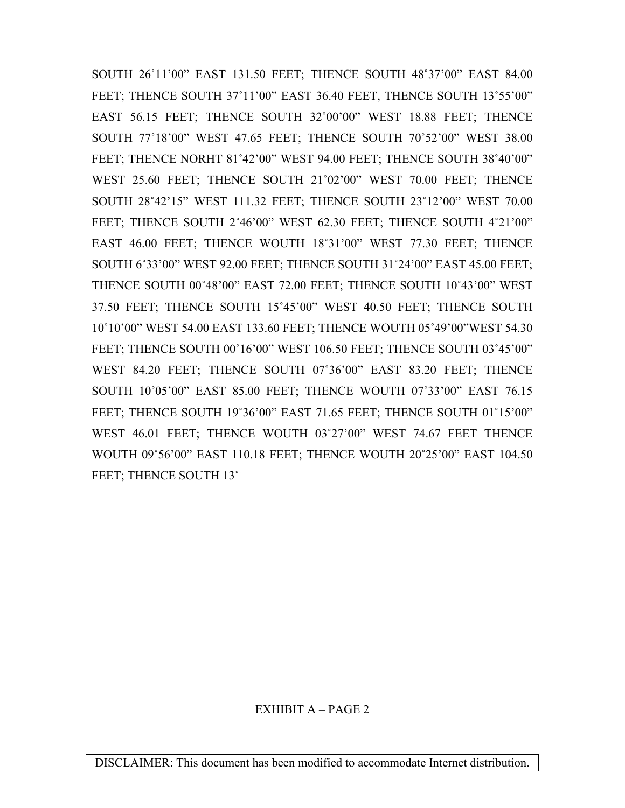SOUTH 26˚11'00" EAST 131.50 FEET; THENCE SOUTH 48˚37'00" EAST 84.00 FEET; THENCE SOUTH 37°11'00" EAST 36.40 FEET, THENCE SOUTH 13°55'00" EAST 56.15 FEET; THENCE SOUTH 32˚00'00" WEST 18.88 FEET; THENCE SOUTH 77˚18'00" WEST 47.65 FEET; THENCE SOUTH 70˚52'00" WEST 38.00 FEET; THENCE NORHT 81˚42'00" WEST 94.00 FEET; THENCE SOUTH 38˚40'00" WEST 25.60 FEET; THENCE SOUTH 21˚02'00" WEST 70.00 FEET; THENCE SOUTH 28˚42'15" WEST 111.32 FEET; THENCE SOUTH 23˚12'00" WEST 70.00 FEET; THENCE SOUTH 2˚46'00" WEST 62.30 FEET; THENCE SOUTH 4˚21'00" EAST 46.00 FEET; THENCE WOUTH 18˚31'00" WEST 77.30 FEET; THENCE SOUTH 6˚33'00" WEST 92.00 FEET; THENCE SOUTH 31˚24'00" EAST 45.00 FEET; THENCE SOUTH 00˚48'00" EAST 72.00 FEET; THENCE SOUTH 10˚43'00" WEST 37.50 FEET; THENCE SOUTH 15˚45'00" WEST 40.50 FEET; THENCE SOUTH 10˚10'00" WEST 54.00 EAST 133.60 FEET; THENCE WOUTH 05˚49'00"WEST 54.30 FEET; THENCE SOUTH 00°16'00" WEST 106.50 FEET; THENCE SOUTH 03°45'00" WEST 84.20 FEET; THENCE SOUTH 07˚36'00" EAST 83.20 FEET; THENCE SOUTH 10˚05'00" EAST 85.00 FEET; THENCE WOUTH 07˚33'00" EAST 76.15 FEET; THENCE SOUTH 19°36'00" EAST 71.65 FEET; THENCE SOUTH 01°15'00" WEST 46.01 FEET; THENCE WOUTH 03˚27'00" WEST 74.67 FEET THENCE WOUTH 09˚56'00" EAST 110.18 FEET; THENCE WOUTH 20˚25'00" EAST 104.50 FEET; THENCE SOUTH 13°

### EXHIBIT A – PAGE 2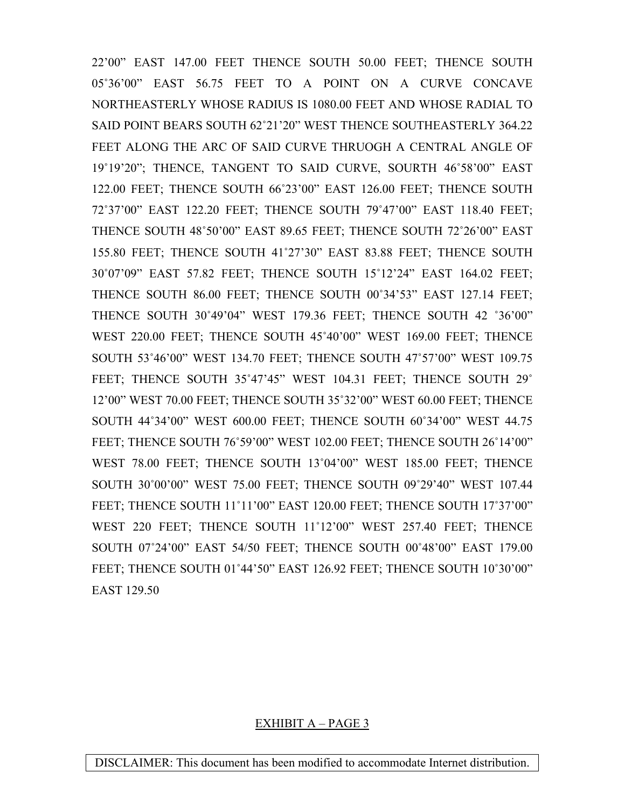22'00" EAST 147.00 FEET THENCE SOUTH 50.00 FEET; THENCE SOUTH 05˚36'00" EAST 56.75 FEET TO A POINT ON A CURVE CONCAVE NORTHEASTERLY WHOSE RADIUS IS 1080.00 FEET AND WHOSE RADIAL TO SAID POINT BEARS SOUTH 62˚21'20" WEST THENCE SOUTHEASTERLY 364.22 FEET ALONG THE ARC OF SAID CURVE THRUOGH A CENTRAL ANGLE OF 19˚19'20"; THENCE, TANGENT TO SAID CURVE, SOURTH 46˚58'00" EAST 122.00 FEET; THENCE SOUTH 66˚23'00" EAST 126.00 FEET; THENCE SOUTH 72˚37'00" EAST 122.20 FEET; THENCE SOUTH 79˚47'00" EAST 118.40 FEET; THENCE SOUTH 48˚50'00" EAST 89.65 FEET; THENCE SOUTH 72˚26'00" EAST 155.80 FEET; THENCE SOUTH 41˚27'30" EAST 83.88 FEET; THENCE SOUTH 30˚07'09" EAST 57.82 FEET; THENCE SOUTH 15˚12'24" EAST 164.02 FEET; THENCE SOUTH 86.00 FEET; THENCE SOUTH 00˚34'53" EAST 127.14 FEET; THENCE SOUTH 30˚49'04" WEST 179.36 FEET; THENCE SOUTH 42 ˚36'00" WEST 220.00 FEET; THENCE SOUTH 45˚40'00" WEST 169.00 FEET; THENCE SOUTH 53˚46'00" WEST 134.70 FEET; THENCE SOUTH 47˚57'00" WEST 109.75 FEET; THENCE SOUTH 35°47'45" WEST 104.31 FEET; THENCE SOUTH 29° 12'00" WEST 70.00 FEET; THENCE SOUTH 35˚32'00" WEST 60.00 FEET; THENCE SOUTH 44˚34'00" WEST 600.00 FEET; THENCE SOUTH 60˚34'00" WEST 44.75 FEET; THENCE SOUTH 76˚59'00" WEST 102.00 FEET; THENCE SOUTH 26˚14'00" WEST 78.00 FEET; THENCE SOUTH 13˚04'00" WEST 185.00 FEET; THENCE SOUTH 30˚00'00" WEST 75.00 FEET; THENCE SOUTH 09˚29'40" WEST 107.44 FEET; THENCE SOUTH 11°11'00" EAST 120.00 FEET; THENCE SOUTH 17°37'00" WEST 220 FEET; THENCE SOUTH 11˚12'00" WEST 257.40 FEET; THENCE SOUTH 07˚24'00" EAST 54/50 FEET; THENCE SOUTH 00˚48'00" EAST 179.00 FEET; THENCE SOUTH 01˚44'50" EAST 126.92 FEET; THENCE SOUTH 10˚30'00" EAST 129.50

#### EXHIBIT A – PAGE 3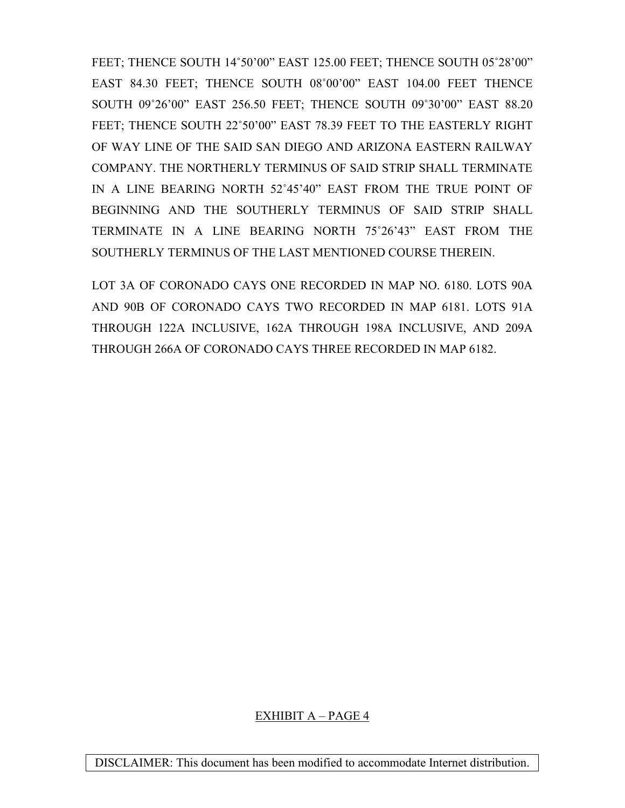FEET; THENCE SOUTH 14°50'00" EAST 125.00 FEET; THENCE SOUTH 05°28'00" EAST 84.30 FEET; THENCE SOUTH 08˚00'00" EAST 104.00 FEET THENCE SOUTH 09˚26'00" EAST 256.50 FEET; THENCE SOUTH 09˚30'00" EAST 88.20 FEET; THENCE SOUTH 22˚50'00" EAST 78.39 FEET TO THE EASTERLY RIGHT OF WAY LINE OF THE SAID SAN DIEGO AND ARIZONA EASTERN RAILWAY COMPANY. THE NORTHERLY TERMINUS OF SAID STRIP SHALL TERMINATE IN A LINE BEARING NORTH 52˚45'40" EAST FROM THE TRUE POINT OF BEGINNING AND THE SOUTHERLY TERMINUS OF SAID STRIP SHALL TERMINATE IN A LINE BEARING NORTH 75˚26'43" EAST FROM THE SOUTHERLY TERMINUS OF THE LAST MENTIONED COURSE THEREIN.

LOT 3A OF CORONADO CAYS ONE RECORDED IN MAP NO. 6180. LOTS 90A AND 90B OF CORONADO CAYS TWO RECORDED IN MAP 6181. LOTS 91A THROUGH 122A INCLUSIVE, 162A THROUGH 198A INCLUSIVE, AND 209A THROUGH 266A OF CORONADO CAYS THREE RECORDED IN MAP 6182.

## EXHIBIT A – PAGE 4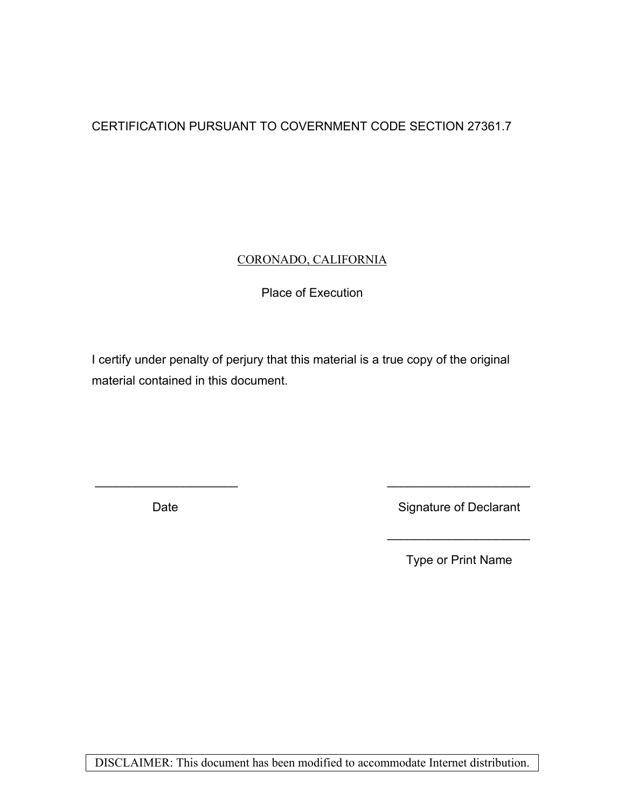# CERTIFICATION PURSUANT TO COVERNMENT CODE SECTION 27361.7

### CORONADO, CALIFORNIA

## Place of Execution

I certify under penalty of perjury that this material is a true copy of the original material contained in this document.

\_\_\_\_\_\_\_\_\_\_\_\_\_\_\_\_\_\_\_\_\_ \_\_\_\_\_\_\_\_\_\_\_\_\_\_\_\_\_\_\_\_\_

 $\frac{1}{\sqrt{2}}$  ,  $\frac{1}{\sqrt{2}}$  ,  $\frac{1}{\sqrt{2}}$  ,  $\frac{1}{\sqrt{2}}$  ,  $\frac{1}{\sqrt{2}}$  ,  $\frac{1}{\sqrt{2}}$  ,  $\frac{1}{\sqrt{2}}$  ,  $\frac{1}{\sqrt{2}}$  ,  $\frac{1}{\sqrt{2}}$  ,  $\frac{1}{\sqrt{2}}$  ,  $\frac{1}{\sqrt{2}}$  ,  $\frac{1}{\sqrt{2}}$  ,  $\frac{1}{\sqrt{2}}$  ,  $\frac{1}{\sqrt{2}}$  ,  $\frac{1}{\sqrt{2}}$ 

Date **Signature of Declarant** 

Type or Print Name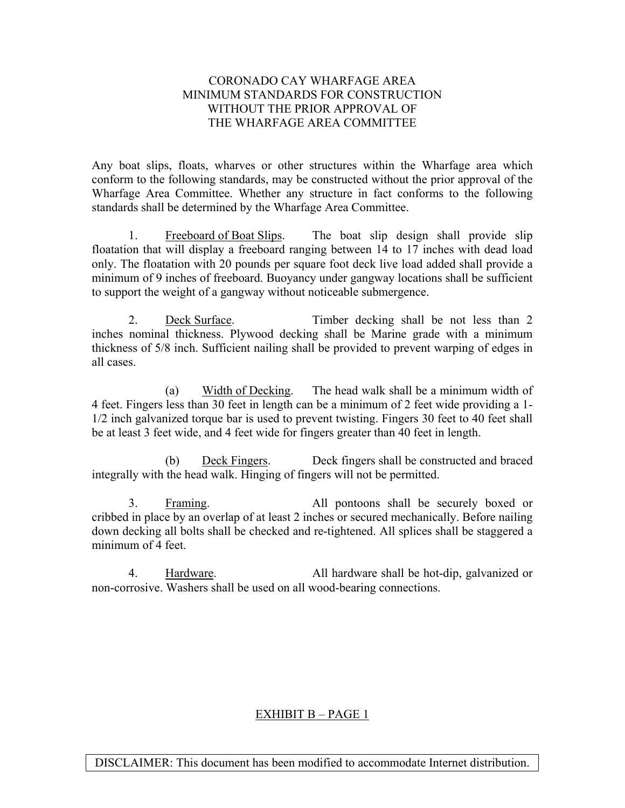### CORONADO CAY WHARFAGE AREA MINIMUM STANDARDS FOR CONSTRUCTION WITHOUT THE PRIOR APPROVAL OF THE WHARFAGE AREA COMMITTEE

Any boat slips, floats, wharves or other structures within the Wharfage area which conform to the following standards, may be constructed without the prior approval of the Wharfage Area Committee. Whether any structure in fact conforms to the following standards shall be determined by the Wharfage Area Committee.

 1. Freeboard of Boat Slips. The boat slip design shall provide slip floatation that will display a freeboard ranging between 14 to 17 inches with dead load only. The floatation with 20 pounds per square foot deck live load added shall provide a minimum of 9 inches of freeboard. Buoyancy under gangway locations shall be sufficient to support the weight of a gangway without noticeable submergence.

 2. Deck Surface. Timber decking shall be not less than 2 inches nominal thickness. Plywood decking shall be Marine grade with a minimum thickness of 5/8 inch. Sufficient nailing shall be provided to prevent warping of edges in all cases.

 (a) Width of Decking. The head walk shall be a minimum width of 4 feet. Fingers less than 30 feet in length can be a minimum of 2 feet wide providing a 1- 1/2 inch galvanized torque bar is used to prevent twisting. Fingers 30 feet to 40 feet shall be at least 3 feet wide, and 4 feet wide for fingers greater than 40 feet in length.

 (b) Deck Fingers. Deck fingers shall be constructed and braced integrally with the head walk. Hinging of fingers will not be permitted.

 3. Framing. All pontoons shall be securely boxed or cribbed in place by an overlap of at least 2 inches or secured mechanically. Before nailing down decking all bolts shall be checked and re-tightened. All splices shall be staggered a minimum of 4 feet.

 4. Hardware. All hardware shall be hot-dip, galvanized or non-corrosive. Washers shall be used on all wood-bearing connections.

### EXHIBIT B – PAGE 1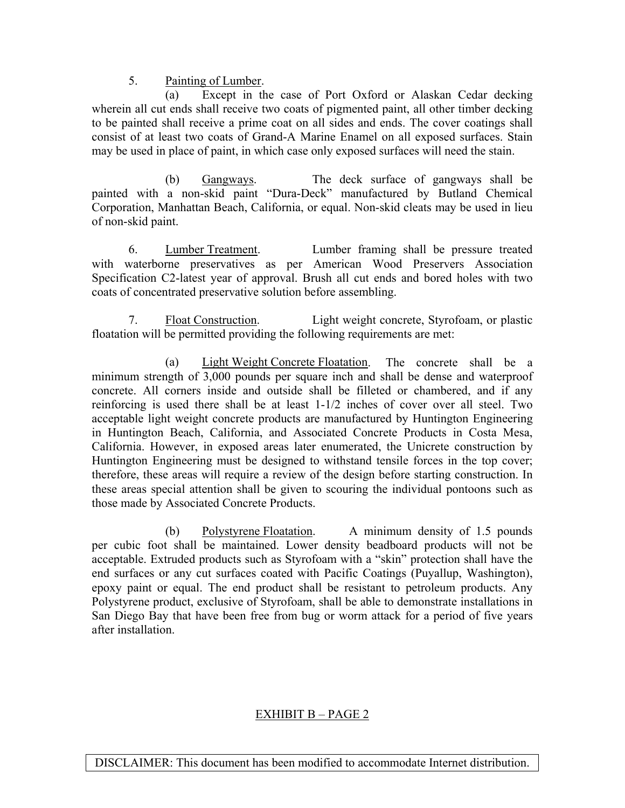### 5. Painting of Lumber.

 (a) Except in the case of Port Oxford or Alaskan Cedar decking wherein all cut ends shall receive two coats of pigmented paint, all other timber decking to be painted shall receive a prime coat on all sides and ends. The cover coatings shall consist of at least two coats of Grand-A Marine Enamel on all exposed surfaces. Stain may be used in place of paint, in which case only exposed surfaces will need the stain.

 (b) Gangways. The deck surface of gangways shall be painted with a non-skid paint "Dura-Deck" manufactured by Butland Chemical Corporation, Manhattan Beach, California, or equal. Non-skid cleats may be used in lieu of non-skid paint.

 6. Lumber Treatment. Lumber framing shall be pressure treated with waterborne preservatives as per American Wood Preservers Association Specification C2-latest year of approval. Brush all cut ends and bored holes with two coats of concentrated preservative solution before assembling.

 7. Float Construction. Light weight concrete, Styrofoam, or plastic floatation will be permitted providing the following requirements are met:

 (a) Light Weight Concrete Floatation. The concrete shall be a minimum strength of 3,000 pounds per square inch and shall be dense and waterproof concrete. All corners inside and outside shall be filleted or chambered, and if any reinforcing is used there shall be at least 1-1/2 inches of cover over all steel. Two acceptable light weight concrete products are manufactured by Huntington Engineering in Huntington Beach, California, and Associated Concrete Products in Costa Mesa, California. However, in exposed areas later enumerated, the Unicrete construction by Huntington Engineering must be designed to withstand tensile forces in the top cover; therefore, these areas will require a review of the design before starting construction. In these areas special attention shall be given to scouring the individual pontoons such as those made by Associated Concrete Products.

 (b) Polystyrene Floatation. A minimum density of 1.5 pounds per cubic foot shall be maintained. Lower density beadboard products will not be acceptable. Extruded products such as Styrofoam with a "skin" protection shall have the end surfaces or any cut surfaces coated with Pacific Coatings (Puyallup, Washington), epoxy paint or equal. The end product shall be resistant to petroleum products. Any Polystyrene product, exclusive of Styrofoam, shall be able to demonstrate installations in San Diego Bay that have been free from bug or worm attack for a period of five years after installation.

## EXHIBIT B – PAGE 2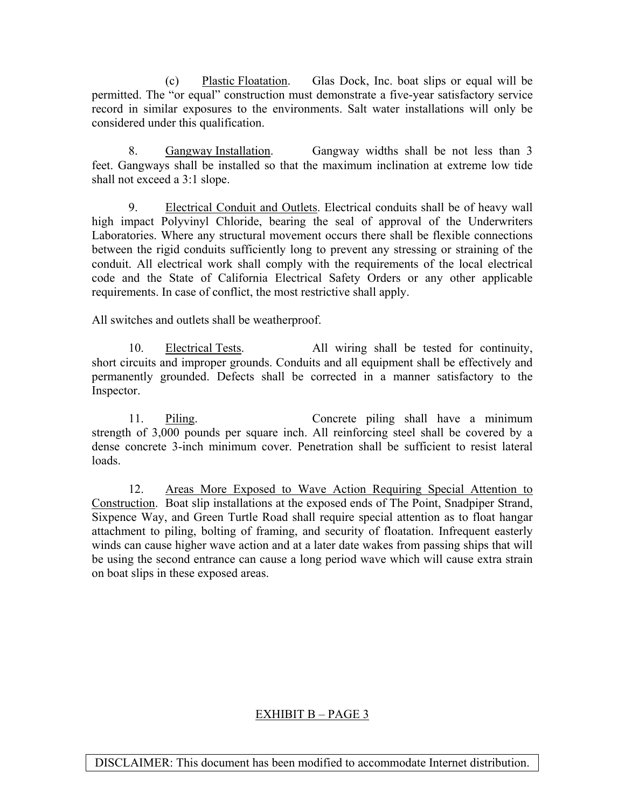(c) Plastic Floatation. Glas Dock, Inc. boat slips or equal will be permitted. The "or equal" construction must demonstrate a five-year satisfactory service record in similar exposures to the environments. Salt water installations will only be considered under this qualification.

 8. Gangway Installation. Gangway widths shall be not less than 3 feet. Gangways shall be installed so that the maximum inclination at extreme low tide shall not exceed a 3:1 slope.

 9. Electrical Conduit and Outlets. Electrical conduits shall be of heavy wall high impact Polyvinyl Chloride, bearing the seal of approval of the Underwriters Laboratories. Where any structural movement occurs there shall be flexible connections between the rigid conduits sufficiently long to prevent any stressing or straining of the conduit. All electrical work shall comply with the requirements of the local electrical code and the State of California Electrical Safety Orders or any other applicable requirements. In case of conflict, the most restrictive shall apply.

All switches and outlets shall be weatherproof.

 10. Electrical Tests. All wiring shall be tested for continuity, short circuits and improper grounds. Conduits and all equipment shall be effectively and permanently grounded. Defects shall be corrected in a manner satisfactory to the Inspector.

 11. Piling. Concrete piling shall have a minimum strength of 3,000 pounds per square inch. All reinforcing steel shall be covered by a dense concrete 3-inch minimum cover. Penetration shall be sufficient to resist lateral loads.

 12. Areas More Exposed to Wave Action Requiring Special Attention to Construction. Boat slip installations at the exposed ends of The Point, Snadpiper Strand, Sixpence Way, and Green Turtle Road shall require special attention as to float hangar attachment to piling, bolting of framing, and security of floatation. Infrequent easterly winds can cause higher wave action and at a later date wakes from passing ships that will be using the second entrance can cause a long period wave which will cause extra strain on boat slips in these exposed areas.

## EXHIBIT B – PAGE 3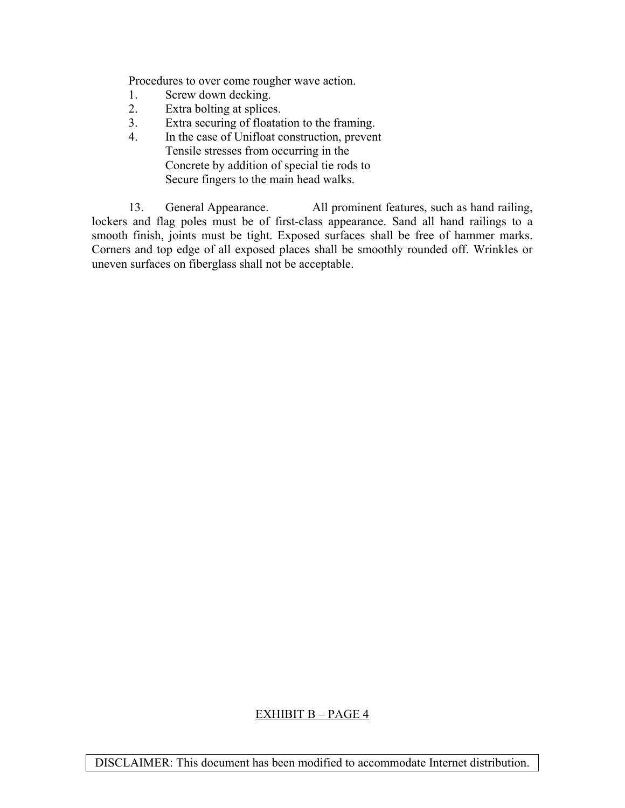Procedures to over come rougher wave action.

- 1. Screw down decking.
- 2. Extra bolting at splices.
- 3. Extra securing of floatation to the framing.
- 4. In the case of Unifloat construction, prevent Tensile stresses from occurring in the Concrete by addition of special tie rods to Secure fingers to the main head walks.

 13. General Appearance. All prominent features, such as hand railing, lockers and flag poles must be of first-class appearance. Sand all hand railings to a smooth finish, joints must be tight. Exposed surfaces shall be free of hammer marks. Corners and top edge of all exposed places shall be smoothly rounded off. Wrinkles or uneven surfaces on fiberglass shall not be acceptable.

## EXHIBIT B – PAGE 4